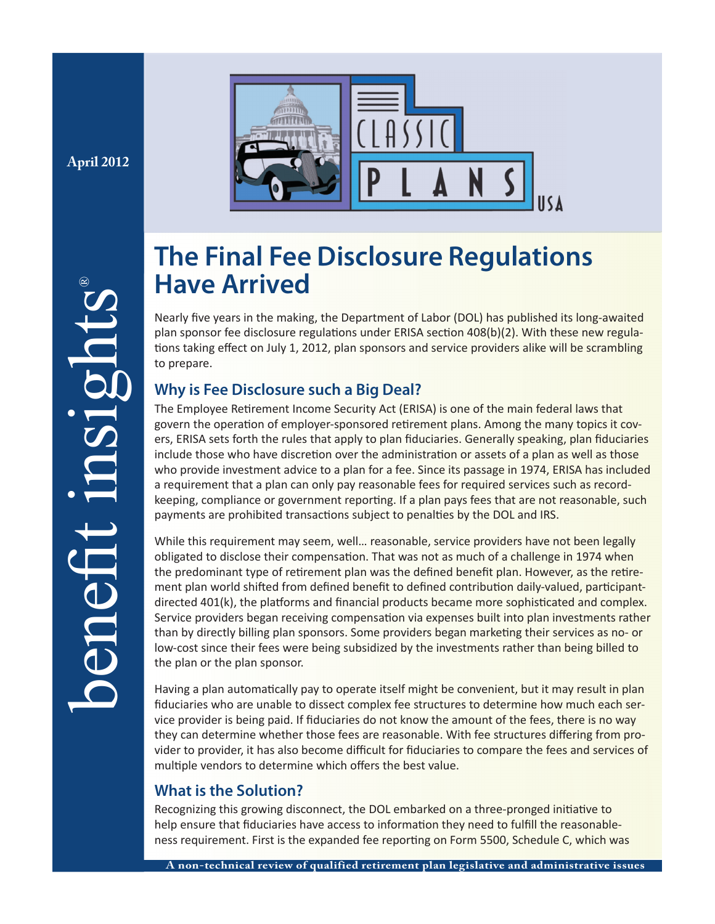**April 2012**

®

benefit insights



# **The Final Fee Disclosure Regulations Have Arrived**

Nearly five years in the making, the Department of Labor (DOL) has published its long-awaited plan sponsor fee disclosure regulations under ERISA section 408(b)(2). With these new regulations taking effect on July 1, 2012, plan sponsors and service providers alike will be scrambling to prepare.

# **Why is Fee Disclosure such a Big Deal?**

The Employee Retirement Income Security Act (ERISA) is one of the main federal laws that govern the operation of employer-sponsored retirement plans. Among the many topics it covers, ERISA sets forth the rules that apply to plan fiduciaries. Generally speaking, plan fiduciaries include those who have discretion over the administration or assets of a plan as well as those who provide investment advice to a plan for a fee. Since its passage in 1974, ERISA has included a requirement that a plan can only pay reasonable fees for required services such as recordkeeping, compliance or government reporting. If a plan pays fees that are not reasonable, such payments are prohibited transactions subject to penalties by the DOL and IRS.

While this requirement may seem, well... reasonable, service providers have not been legally obligated to disclose their compensation. That was not as much of a challenge in 1974 when the predominant type of retirement plan was the defined benefit plan. However, as the retirement plan world shifted from defined benefit to defined contribution daily-valued, participantdirected 401(k), the platforms and financial products became more sophisticated and complex. Service providers began receiving compensation via expenses built into plan investments rather than by directly billing plan sponsors. Some providers began marketing their services as no- or low-cost since their fees were being subsidized by the investments rather than being billed to the plan or the plan sponsor.

Having a plan automatically pay to operate itself might be convenient, but it may result in plan fiduciaries who are unable to dissect complex fee structures to determine how much each service provider is being paid. If fiduciaries do not know the amount of the fees, there is no way they can determine whether those fees are reasonable. With fee structures differing from provider to provider, it has also become difficult for fiduciaries to compare the fees and services of multiple vendors to determine which offers the best value.

## **What is the Solution?**

Recognizing this growing disconnect, the DOL embarked on a three-pronged initiative to help ensure that fiduciaries have access to information they need to fulfill the reasonableness requirement. First is the expanded fee reporting on Form 5500, Schedule C, which was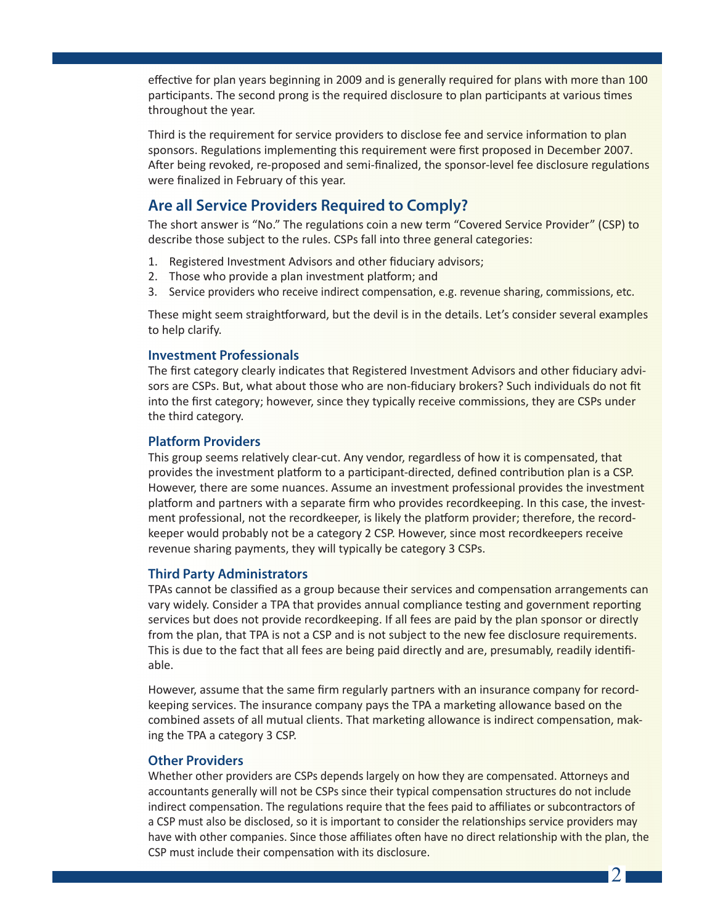effective for plan years beginning in 2009 and is generally required for plans with more than 100 participants. The second prong is the required disclosure to plan participants at various times throughout the year.

Third is the requirement for service providers to disclose fee and service information to plan sponsors. Regulations implementing this requirement were first proposed in December 2007. After being revoked, re-proposed and semi-finalized, the sponsor-level fee disclosure regulations were finalized in February of this year.

## **Are all Service Providers Required to Comply?**

The short answer is "No." The regulations coin a new term "Covered Service Provider" (CSP) to describe those subject to the rules. CSPs fall into three general categories:

- 1. Registered Investment Advisors and other fiduciary advisors;
- 2. Those who provide a plan investment platform; and
- 3. Service providers who receive indirect compensation, e.g. revenue sharing, commissions, etc.

These might seem straightforward, but the devil is in the details. Let's consider several examples to help clarify.

#### **Investment Professionals**

The first category clearly indicates that Registered Investment Advisors and other fiduciary advisors are CSPs. But, what about those who are non-fiduciary brokers? Such individuals do not fit into the first category; however, since they typically receive commissions, they are CSPs under the third category.

#### **Platform Providers**

This group seems relatively clear-cut. Any vendor, regardless of how it is compensated, that provides the investment platform to a participant-directed, defined contribution plan is a CSP. However, there are some nuances. Assume an investment professional provides the investment platform and partners with a separate firm who provides recordkeeping. In this case, the investment professional, not the recordkeeper, is likely the platform provider; therefore, the recordkeeper would probably not be a category 2 CSP. However, since most recordkeepers receive revenue sharing payments, they will typically be category 3 CSPs.

#### **Third Party Administrators**

TPAs cannot be classified as a group because their services and compensation arrangements can vary widely. Consider a TPA that provides annual compliance testing and government reporting services but does not provide recordkeeping. If all fees are paid by the plan sponsor or directly from the plan, that TPA is not a CSP and is not subject to the new fee disclosure requirements. This is due to the fact that all fees are being paid directly and are, presumably, readily identifiable.

However, assume that the same firm regularly partners with an insurance company for recordkeeping services. The insurance company pays the TPA a marketing allowance based on the combined assets of all mutual clients. That marketing allowance is indirect compensation, making the TPA a category 3 CSP.

#### **Other Providers**

Whether other providers are CSPs depends largely on how they are compensated. Attorneys and accountants generally will not be CSPs since their typical compensation structures do not include indirect compensation. The regulations require that the fees paid to affiliates or subcontractors of a CSP must also be disclosed, so it is important to consider the relationships service providers may have with other companies. Since those affiliates often have no direct relationship with the plan, the CSP must include their compensation with its disclosure.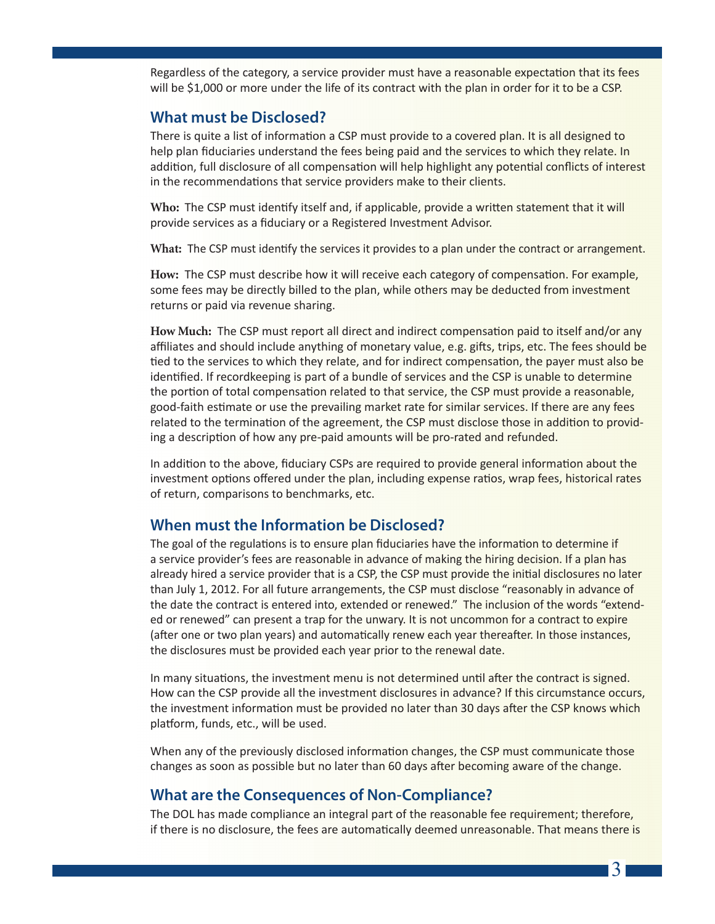Regardless of the category, a service provider must have a reasonable expectation that its fees will be \$1,000 or more under the life of its contract with the plan in order for it to be a CSP.

## **What must be Disclosed?**

There is quite a list of information a CSP must provide to a covered plan. It is all designed to help plan fiduciaries understand the fees being paid and the services to which they relate. In addition, full disclosure of all compensation will help highlight any potential conflicts of interest in the recommendations that service providers make to their clients.

**Who:** The CSP must identify itself and, if applicable, provide a written statement that it will provide services as a fiduciary or a Registered Investment Advisor.

What: The CSP must identify the services it provides to a plan under the contract or arrangement.

How: The CSP must describe how it will receive each category of compensation. For example, some fees may be directly billed to the plan, while others may be deducted from investment returns or paid via revenue sharing.

How Much: The CSP must report all direct and indirect compensation paid to itself and/or any affiliates and should include anything of monetary value, e.g. gifts, trips, etc. The fees should be tied to the services to which they relate, and for indirect compensation, the payer must also be identified. If recordkeeping is part of a bundle of services and the CSP is unable to determine the portion of total compensation related to that service, the CSP must provide a reasonable, good-faith estimate or use the prevailing market rate for similar services. If there are any fees related to the termination of the agreement, the CSP must disclose those in addition to providing a description of how any pre-paid amounts will be pro-rated and refunded.

In addition to the above, fiduciary CSPs are required to provide general information about the investment options offered under the plan, including expense ratios, wrap fees, historical rates of return, comparisons to benchmarks, etc.

## **When must the Information be Disclosed?**

The goal of the regulations is to ensure plan fiduciaries have the information to determine if a service provider's fees are reasonable in advance of making the hiring decision. If a plan has already hired a service provider that is a CSP, the CSP must provide the initial disclosures no later than July 1, 2012. For all future arrangements, the CSP must disclose "reasonably in advance of the date the contract is entered into, extended or renewed." The inclusion of the words "extended or renewed" can present a trap for the unwary. It is not uncommon for a contract to expire (after one or two plan years) and automatically renew each year thereafter. In those instances, the disclosures must be provided each year prior to the renewal date.

In many situations, the investment menu is not determined until after the contract is signed. How can the CSP provide all the investment disclosures in advance? If this circumstance occurs, the investment information must be provided no later than 30 days after the CSP knows which platform, funds, etc., will be used.

When any of the previously disclosed information changes, the CSP must communicate those changes as soon as possible but no later than 60 days after becoming aware of the change.

## **What are the Consequences of Non-Compliance?**

The DOL has made compliance an integral part of the reasonable fee requirement; therefore, if there is no disclosure, the fees are automatically deemed unreasonable. That means there is

3